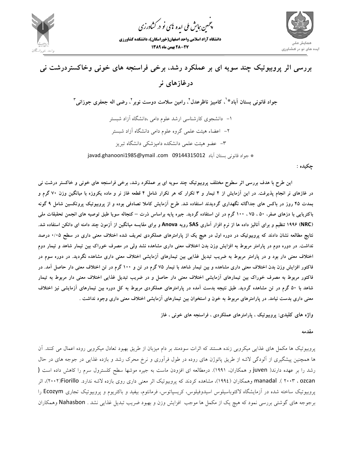

.<br>چمین *جایش ملی* ایده <sup>ب</sup>ای نو در کشاورزی ൕह

**دانشگاه آزاد اسلامي واحد اصفهان(خوراسگان)، دانشكده كشاورزي 28-27 بهمن ماه 1389**



# **بررسي اثر پروبيوتيك چند سويه اي بر عملكرد رشد، برخي فراسنجه هاي خوني وخاكستردرشت ني درغازهاي نر**  جواد قانونی بستان آباد<sup>ید'</sup>، کامبیز ناظرعدل<sup>۲</sup>، رامین سلامت دوست نوبر<sup>۲</sup>، رضی اله جعفری جوزانی<sup>۳</sup> -1 دانشجوي كارشناسي ارشد علوم دامي ،دانشگاه آزاد شبستر -2 اعضاء هيئت علمي گروه علوم دامي دانشگاه آزاد شبستر -3 عضو هيئت علمي دانشكده دامپزشكي دانشگاه تبريز \* جواد قانوني بستان آباد 09144315012com. ymail@1985ghanooni.javad

**چكيده :** 

این طرح با هدف بررسی اثر سطوح مختلف پروبیوتیک چند سویه ای بر عملکرد رشد، برخی فراسنجه های خونی و خاکستر درشت نی در غازهای نر انجام پذیرفت. در این آزمایش از ۴ تیمار و ۳ تکرار که هر تکرار شامل ۴ قطعه غاز نر و ماده یکروزه با میانگین وزن ۷۰ گرم و بمدت ۴۵ روز در باکس های جداگانه نگهداری گردیدند استفاده شد. طرح آزمایش کاملا تصادفی بوده و از پروبیوتیک پروتکسین شامل ۹ گونه باکتریایی با دزهای صفر، ۵۰، ۷۵ . ۱۰۰ گرم در تن استفاده گردید. جیره پایه براساس ذرت – کنجاله سویا طبق توصیه های انجمن تحقبقات ملی (NRC) ۱۹۹۶ تنظیم و برای آنالیز داده ها از نرم افزار آماری SAS رویه Anova و برای مقایسه میانگین از آزمون چند دامنه ای دانکن استفاده شد. نتایج مطالعه نشان دادند که پروبیوتیک در دوره اول در هیچ یک از پارامترهای عملکردی تعریف شده اختلاف معنی داری در سطح ۰/۰۵ درصد نداشت. در دوره دوم در پارامتر مربوط به افزایش وزن بدن اختلاف معنی داری مشاهده نشد ولی در مصرف خوراک بین تیمار شاهد و تیمار دوم اختلاف معنی دار بود و در پارامتر مربوط به ضریب تبدیل غذایی بین تیمارهای آزمایشی اختلاف معنی داری مشاهده نگردید. در دوره سوم در فاکتور افزایش وزن بدن اختلاف معنی داری مشاهده و بین تیمار شاهد با تیمار ۷۵ گرم در تن و ۱۰۰ گرم در تن اختلاف معنی دار حاصل آمد. در فاکتور مربوط به مصرف خوراک بین تیمارهای آزمایشی اختلاف معنی دار حاصل و در ضریب تبدیل غذایی اختلاف معنی دار مربوط به تیمار شاهد با ۵۰ گرم در تن مشاهده گردید. طبق نتیجه بدست آمده در پارامترهای عملکردی مربوط به کل دوره بین تیمارهای آزمایشی نیز اختلاف معنی داری بدست نیامد. در پارامترهای مربوط به خون و استخوان بین تیمارهای آزمایشی اختلاف معنی داری وجود نداشت .

**واژه هاي كليدي: پروبيوتيك ، پارامترهاي عملكردي ، فراسنجه هاي خوني ، غاز** 

**مقدمه** 

پروبيوتيك ها مكمل هاي غذايي ميكروبي زنده هستند كه اثرات سودمند بر دام ميزبان از طريق بهبود تعادل ميكروبي روده اعمال مي كنند. آن ها همچنين پيشگيري از آلودگي لاشه از طريق پاتوژن هاي روده در طول فرآوري و نرخ محرك رشد و بازده غذايي در جوجه هاي در حال رشد را بر عهده دارند( juven و همكاران، 1991). درمطالعه اي افزودن ماست به جيره موشها سطح كلسترول سرم را كاهش داده است ( ozcan ، ۲۰۰۳ ). manadal وهمكاران (١٩٩٤)، مشاهده كردند كه پروبيوتيك اثر معني داري روي بازده لاشه ندارد. ٢٠٠٢)/Fiorillo)، اثر پروبيوتيك ساخته شده در آزمايشگاه لاكتوباسيلوس اسيدوفيلوس، كريسپاتوس، فرمانتوم، بيفيد و باكتريوم و پروبيوتيك تجاري Ecozym را برجوجه هاي گوشتي بررسي نمود كه هيچ يك از مكمل ها موجب افزايش وزن و بهبود ضريب تبديل غذايي نشد . Nahasbon وهمكاران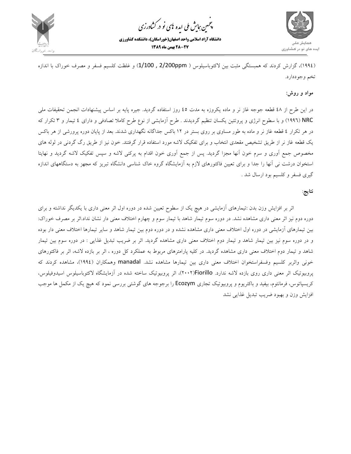

.<br>چمین *جایش ملی* ایده <sup>ب</sup>ای نو در کشاورزی ൕह

**دانشگاه آزاد اسلامي واحد اصفهان(خوراسگان)، دانشكده كشاورزي 28-27 بهمن ماه 1389**



(1994)، گزارش كردند كه همبستگي مثبت بين لاكتوباسيلوس ( ppm2/200 , 1/100 (و غلظت كلسيم فسفر و مصرف خوراك با اندازه تخم وجوددارد.

#### **مواد و روش:**

در اين طرح از 48 قطعه جوجه غاز نر و ماده يكروزه به مدت 45 روز استفاده گرديد. جيره پايه بر اساس پيشنهادات انجمن تحقيفات ملي NRC) 1996 (و با سطوح انرژي و پروتئين يكسان تنظيم گرديدند . طرح آزمايشي از نوع طرح كاملا تصادفي و داراي 4 تيمار و 3 تكرار كه در هر تكرار 4 قطعه غاز نر و ماده به طور مساوي بر روي بستر در 12 باكس جداگانه نگهداري شدند. بعد از پايان دوره پرورشي از هر باكس يك قطعه غاز نر از طريق تشخيص مقعدي انتخاب و براي تفكيك لاشه مورد استفاده قرار گرفتند. خون نيز از طريق رگ گردني در لوله هاي مخصوص جمع آوري و سرم خون آنها مجزا گرديد. پس از جمع آوري خون اقدام به پركني لاشه و سپس تفكيك لاشه گرديد و نهايتا استخوان درشت ني آنها را جدا و براي تعيين فاكتورهاي لازم به آزمايشگاه گروه خاك شناسي دانشگاه تبريز كه مجهز به دستگاههاي اندازه گيري فسفر و كلسيم بود ارسال شد .

### **نتايج**:

اثر بر افزايش وزن بدن :تيمارهاي آزمايشي در هيچ يك از سطوح تعيين شده در دوره اول اثر معني داري با يكديگر نداشته و براي دوره دوم نيز اثر معني داري مشاهده نشد. در دوره سوم تيمار شاهد با تيمار سوم و چهارم اختلاف معني دار نشان نداد.اثر بر مصرف خوراك: بين تيمارهاي آزمايشي در دوره اول اختلاف معني داري مشاهده نشده و در دوره دوم بين تيمار شاهد و ساير تيمارها اختلاف معني دار بوده و در دوره سوم نيز بين تيمار شاهد و تيمار دوم اختلاف معني داري مشاهده گرديد. اثر بر ضريب تبديل غذايي : در دوره سوم بين تيمار شاهد و تيمار دوم اختلاف معني داري مشاهده گرديد. در كليه پارامترهاي مربوط به عملكرد كل دوره ، اثر بر بازده لاشه، اثر بر فاكتورهاي خوني واثربر كلسيم وفسفراستخوان اختلاف معني داري بين تيمارها مشاهده نشد. manadal وهمكاران (1994)، مشاهده كردند كه پروبيوتيك اثر معني داري روي بازده لاشه ندارد. Fiorillo)2002(، اثر پروبيوتيك ساخته شده در آزمايشگاه لاكتوباسيلوس اسيدوفيلوس، كريسپاتوس، فرمانتوم، بيفيد و باكتريوم و پروبيوتيك تجاري Ecozym را برجوجه هاي گوشتي بررسي نمود كه هيچ يك از مكمل ها موجب افزايش وزن و بهبود ضريب تبديل غذايي نشد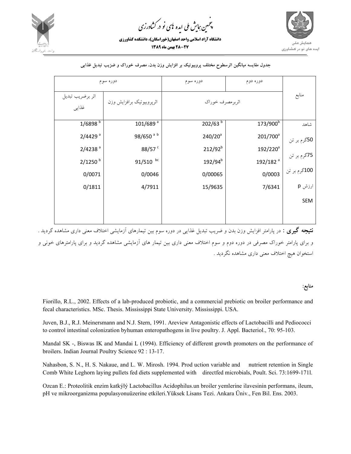

.<br>چمین *جایش ملی* ایده <sup>ب</sup>ای نو در کشاورزی ൕह

**دانشگاه آزاد اسلامي واحد اصفهان(خوراسگان)، دانشكده كشاورزي 28-27 بهمن ماه 1389**



| دوره سوم                   |                           | دوره سوم            | دوره دوم             |              |
|----------------------------|---------------------------|---------------------|----------------------|--------------|
| اثر برضريب تبديل<br>غذايبي | اثرپروبيوتيک برافزايش وزن | اثربرمصرف خوراك     |                      | منابع        |
| $1/6898^{b}$               | 101/689 <sup>a</sup>      | 202/63 <sup>b</sup> | 173/900 <sup>b</sup> | شاهد         |
| $2/4429$ <sup>a</sup>      | 98/650 <sup>ab</sup>      | $240/20^a$          | 201/700 <sup>a</sup> | 50گرم بر تن  |
| $2/4238$ <sup>a</sup>      | 88/57 <sup>c</sup>        | $212/92^{b}$        | 192/220 <sup>a</sup> | 75گرم بر تن  |
| $2/1250$ <sup>b</sup>      | $91/510$ bc               | 192/94 <sup>b</sup> | 192/182 <sup>a</sup> |              |
| 0/0071                     | 0/0046                    | 0/00065             | 0/0003               | 100گرم بر تن |
| 0/1811                     | 4/7911                    | 15/9635             | 7/6341               | ارزش p       |
|                            |                           |                     |                      | <b>SEM</b>   |
|                            |                           |                     |                      |              |

#### **جدول مقايسه ميانگين اثرسطوح مختلف پروبيوتيك بر افزايش وزن بدن، مصرف خوراك و ضزيب تبديل غذايي**

**نتيجه گيري :** در پارامتر افزايش وزن بدن و ضريب تبديل غذايي در دوره سوم بين تيمارهاي آزمايشي اختلاف معني داري مشاهده گرديد . و براي پارامتر خوراك مصرفي در دوره دوم و سوم اختلاف معني داري بين تيمار هاي آزمايشي مشاهده گرديد و براي پارامترهاي خوني و استخوان هيچ اختلاف معني داري مشاهده نگرديد .

#### **منابع:**

Fiorillo, R.L., 2002. Effects of a lab-produced probiotic, and a commercial prebiotic on broiler performance and fecal characteristics. MSc. Thesis. Mississippi State University. Mississippi. USA.

Juven, B.J., R.J. Meinersmann and N.J. Stern, 1991. Areview Antagonistic effects of Lactobacilli and Pediococci to control intestinal colonization byhuman enteropathogens in live poultry. J. Appl. Bacteriol., 70: 95-103.

Mandal SK -, Biswas IK and Mandai L (1994). Efficiency of different growth promoters on the performance of broilers. Indian Journal Poultry Science 92 : 13-17.

Nahasbon, S. N., H. S. Nakaue, and L. W. Mirosh. 1994. Prod uction variable and nutrient retention in Single Comb White Leghorn laying pullets fed diets supplemented with directfed microbials, Poult. Sci. 73:1699-171l.

Ozcan E.: Proteolitik enzim katkýlý Lactobacillus Acidophilus.un broiler yemlerine ilavesinin performans, ileum, pH ve mikroorganizma populasyonuüzerine etkileri.Yüksek Lisans Tezi. Ankara Üniv., Fen Bil. Ens. 2003.